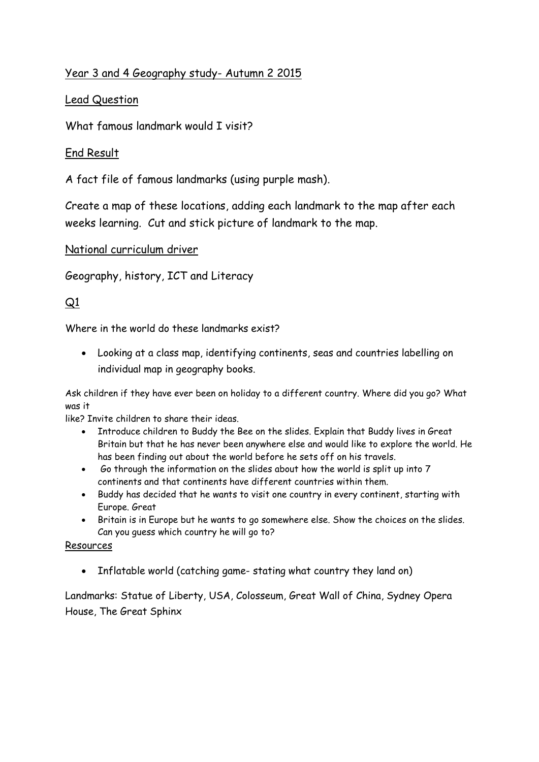### Year 3 and 4 Geography study- Autumn 2 2015

### Lead Question

What famous landmark would I visit?

### End Result

A fact file of famous landmarks (using purple mash).

Create a map of these locations, adding each landmark to the map after each weeks learning. Cut and stick picture of landmark to the map.

#### National curriculum driver

Geography, history, ICT and Literacy

# $Q1$

Where in the world do these landmarks exist?

 Looking at a class map, identifying continents, seas and countries labelling on individual map in geography books.

Ask children if they have ever been on holiday to a different country. Where did you go? What was it

like? Invite children to share their ideas.

- Introduce children to Buddy the Bee on the slides. Explain that Buddy lives in Great Britain but that he has never been anywhere else and would like to explore the world. He has been finding out about the world before he sets off on his travels.
- Go through the information on the slides about how the world is split up into 7 continents and that continents have different countries within them.
- Buddy has decided that he wants to visit one country in every continent, starting with Europe. Great
- Britain is in Europe but he wants to go somewhere else. Show the choices on the slides. Can you guess which country he will go to?

#### Resources

Inflatable world (catching game- stating what country they land on)

Landmarks: Statue of Liberty, USA, Colosseum, Great Wall of China, Sydney Opera House, The Great Sphinx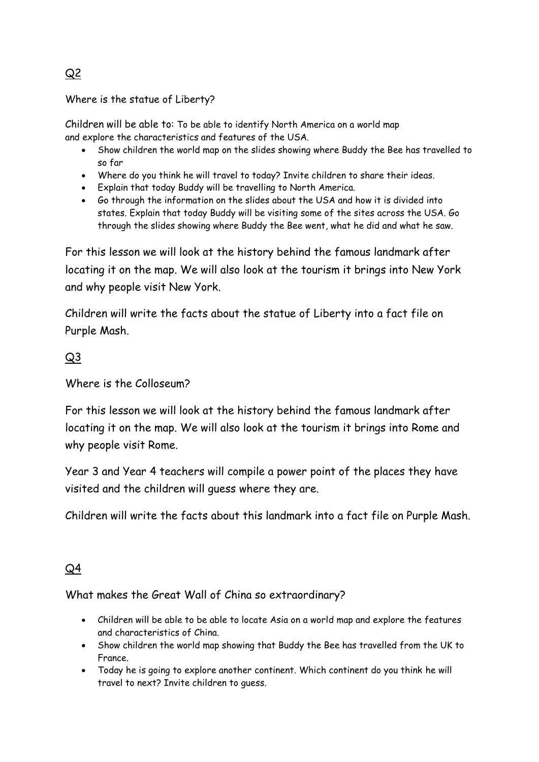### Where is the statue of Liberty?

Children will be able to: To be able to identify North America on a world map and explore the characteristics and features of the USA.

- Show children the world map on the slides showing where Buddy the Bee has travelled to so far
- Where do you think he will travel to today? Invite children to share their ideas.
- Explain that today Buddy will be travelling to North America.
- Go through the information on the slides about the USA and how it is divided into states. Explain that today Buddy will be visiting some of the sites across the USA. Go through the slides showing where Buddy the Bee went, what he did and what he saw.

For this lesson we will look at the history behind the famous landmark after locating it on the map. We will also look at the tourism it brings into New York and why people visit New York.

Children will write the facts about the statue of Liberty into a fact file on Purple Mash.

# Q3

#### Where is the Colloseum?

For this lesson we will look at the history behind the famous landmark after locating it on the map. We will also look at the tourism it brings into Rome and why people visit Rome.

Year 3 and Year 4 teachers will compile a power point of the places they have visited and the children will guess where they are.

Children will write the facts about this landmark into a fact file on Purple Mash.

# Q4

#### What makes the Great Wall of China so extraordinary?

- Children will be able to be able to locate Asia on a world map and explore the features and characteristics of China.
- Show children the world map showing that Buddy the Bee has travelled from the UK to France.
- Today he is going to explore another continent. Which continent do you think he will travel to next? Invite children to guess.

Q2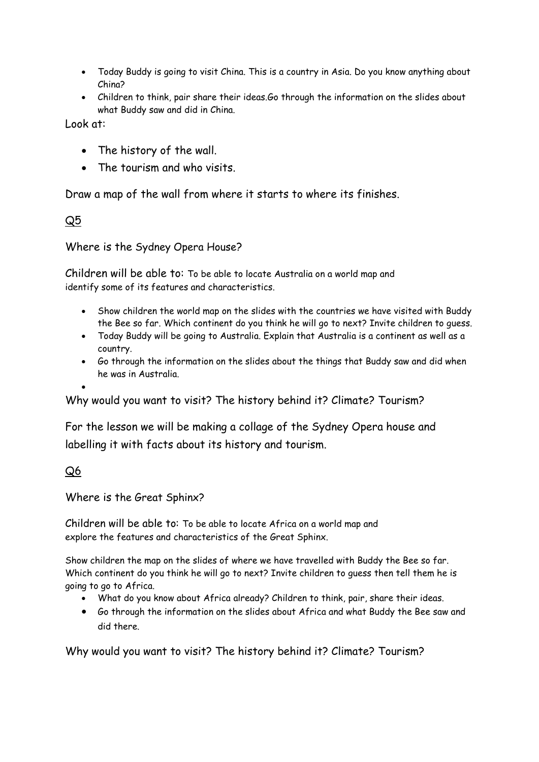- Today Buddy is going to visit China. This is a country in Asia. Do you know anything about China?
- Children to think, pair share their ideas.Go through the information on the slides about what Buddy saw and did in China.

Look at:

- The history of the wall.
- The tourism and who visits.

Draw a map of the wall from where it starts to where its finishes.

Q5

Where is the Sydney Opera House?

Children will be able to: To be able to locate Australia on a world map and identify some of its features and characteristics.

- Show children the world map on the slides with the countries we have visited with Buddy the Bee so far. Which continent do you think he will go to next? Invite children to guess.
- Today Buddy will be going to Australia. Explain that Australia is a continent as well as a country.
- Go through the information on the slides about the things that Buddy saw and did when he was in Australia.

 $\bullet$ 

Why would you want to visit? The history behind it? Climate? Tourism?

For the lesson we will be making a collage of the Sydney Opera house and labelling it with facts about its history and tourism.

#### Q6

Where is the Great Sphinx?

Children will be able to: To be able to locate Africa on a world map and explore the features and characteristics of the Great Sphinx.

Show children the map on the slides of where we have travelled with Buddy the Bee so far. Which continent do you think he will go to next? Invite children to guess then tell them he is going to go to Africa.

- What do you know about Africa already? Children to think, pair, share their ideas.
- Go through the information on the slides about Africa and what Buddy the Bee saw and did there.

Why would you want to visit? The history behind it? Climate? Tourism?